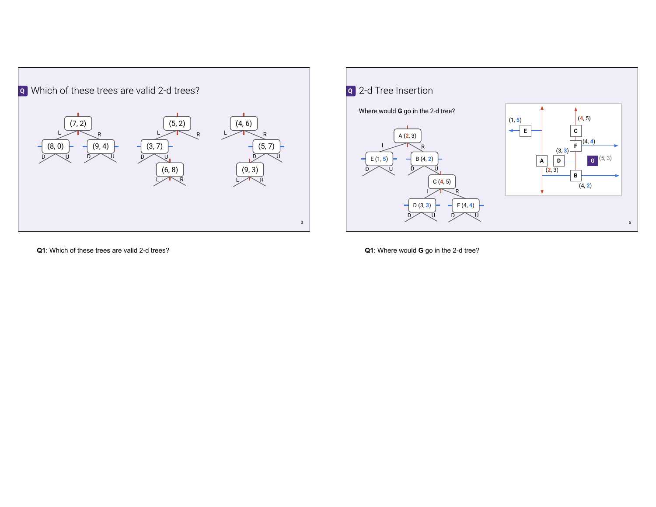



**Q1**: Which of these trees are valid 2-d trees?

**Q1**: Where would **G** go in the 2-d tree?